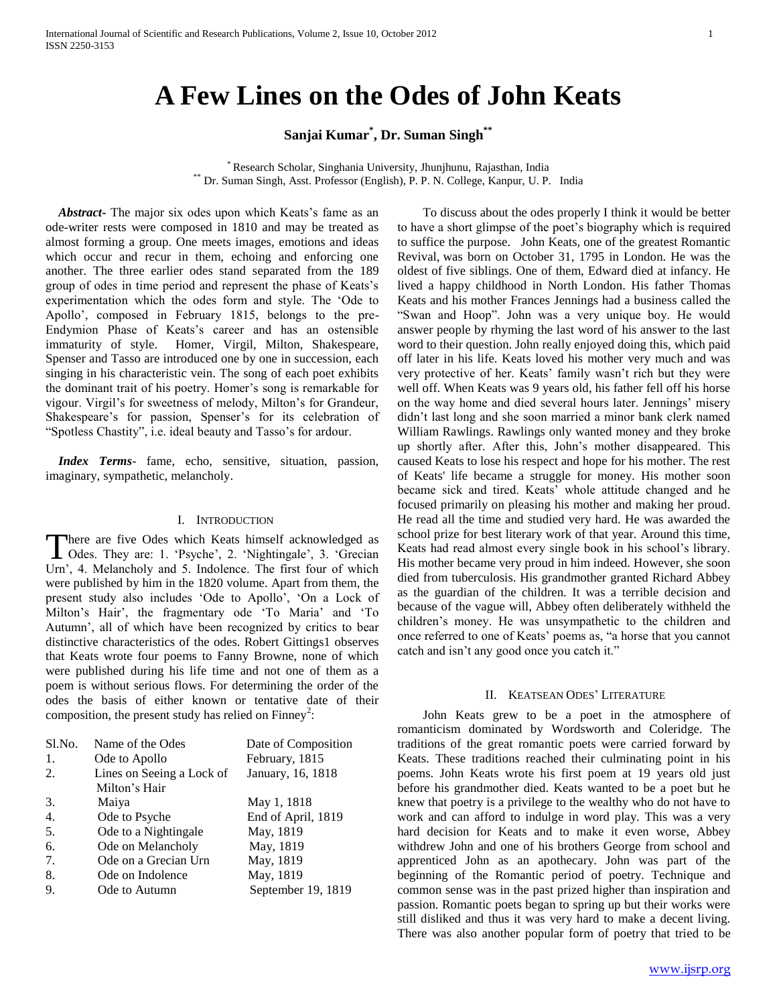# **A Few Lines on the Odes of John Keats**

## **Sanjai Kumar\* , Dr. Suman Singh\*\***

\* Research Scholar, Singhania University, Jhunjhunu, Rajasthan, India \*\* Dr. Suman Singh, Asst. Professor (English), P. P. N. College, Kanpur, U. P. India

Abstract - The major six odes upon which Keats's fame as an ode-writer rests were composed in 1810 and may be treated as almost forming a group. One meets images, emotions and ideas which occur and recur in them, echoing and enforcing one another. The three earlier odes stand separated from the 189 group of odes in time period and represent the phase of Keats"s experimentation which the odes form and style. The "Ode to Apollo", composed in February 1815, belongs to the pre-Endymion Phase of Keats"s career and has an ostensible immaturity of style. Homer, Virgil, Milton, Shakespeare, Spenser and Tasso are introduced one by one in succession, each singing in his characteristic vein. The song of each poet exhibits the dominant trait of his poetry. Homer"s song is remarkable for vigour. Virgil"s for sweetness of melody, Milton"s for Grandeur, Shakespeare's for passion, Spenser's for its celebration of "Spotless Chastity", i.e. ideal beauty and Tasso's for ardour.

 *Index Terms*- fame, echo, sensitive, situation, passion, imaginary, sympathetic, melancholy.

### I. INTRODUCTION

There are five Odes which Keats himself acknowledged as There are five Odes which Keats himself acknowledged as<br>
Odes. They are: 1. 'Psyche', 2. 'Nightingale', 3. 'Grecian Urn", 4. Melancholy and 5. Indolence. The first four of which were published by him in the 1820 volume. Apart from them, the present study also includes "Ode to Apollo", "On a Lock of Milton's Hair', the fragmentary ode 'To Maria' and 'To Autumn", all of which have been recognized by critics to bear distinctive characteristics of the odes. Robert Gittings1 observes that Keats wrote four poems to Fanny Browne, none of which were published during his life time and not one of them as a poem is without serious flows. For determining the order of the odes the basis of either known or tentative date of their composition, the present study has relied on Finney<sup>2</sup>:

| Name of the Odes          | Date of Composition |
|---------------------------|---------------------|
| Ode to Apollo             | February, 1815      |
| Lines on Seeing a Lock of | January, 16, 1818   |
| Milton's Hair             |                     |
| Maiya                     | May 1, 1818         |
| Ode to Psyche             | End of April, 1819  |
| Ode to a Nightingale      | May, 1819           |
| Ode on Melancholy         | May, 1819           |
| Ode on a Grecian Urn      | May, 1819           |
| Ode on Indolence          | May, 1819           |
| Ode to Autumn             | September 19, 1819  |
|                           |                     |

 To discuss about the odes properly I think it would be better to have a short glimpse of the poet"s biography which is required to suffice the purpose. John Keats, one of the greatest Romantic Revival, was born on October 31, 1795 in London. He was the oldest of five siblings. One of them, Edward died at infancy. He lived a happy childhood in North London. His father Thomas Keats and his mother Frances Jennings had a business called the "Swan and Hoop". John was a very unique boy. He would answer people by rhyming the last word of his answer to the last word to their question. John really enjoyed doing this, which paid off later in his life. Keats loved his mother very much and was very protective of her. Keats' family wasn't rich but they were well off. When Keats was 9 years old, his father fell off his horse on the way home and died several hours later. Jennings" misery didn"t last long and she soon married a minor bank clerk named William Rawlings. Rawlings only wanted money and they broke up shortly after. After this, John"s mother disappeared. This caused Keats to lose his respect and hope for his mother. The rest of Keats' life became a struggle for money. His mother soon became sick and tired. Keats" whole attitude changed and he focused primarily on pleasing his mother and making her proud. He read all the time and studied very hard. He was awarded the school prize for best literary work of that year. Around this time, Keats had read almost every single book in his school"s library. His mother became very proud in him indeed. However, she soon died from tuberculosis. His grandmother granted Richard Abbey as the guardian of the children. It was a terrible decision and because of the vague will, Abbey often deliberately withheld the children"s money. He was unsympathetic to the children and once referred to one of Keats' poems as, "a horse that you cannot catch and isn"t any good once you catch it."

#### II. KEATSEAN ODES' LITERATURE

 John Keats grew to be a poet in the atmosphere of romanticism dominated by Wordsworth and Coleridge. The traditions of the great romantic poets were carried forward by Keats. These traditions reached their culminating point in his poems. John Keats wrote his first poem at 19 years old just before his grandmother died. Keats wanted to be a poet but he knew that poetry is a privilege to the wealthy who do not have to work and can afford to indulge in word play. This was a very hard decision for Keats and to make it even worse, Abbey withdrew John and one of his brothers George from school and apprenticed John as an apothecary. John was part of the beginning of the Romantic period of poetry. Technique and common sense was in the past prized higher than inspiration and passion. Romantic poets began to spring up but their works were still disliked and thus it was very hard to make a decent living. There was also another popular form of poetry that tried to be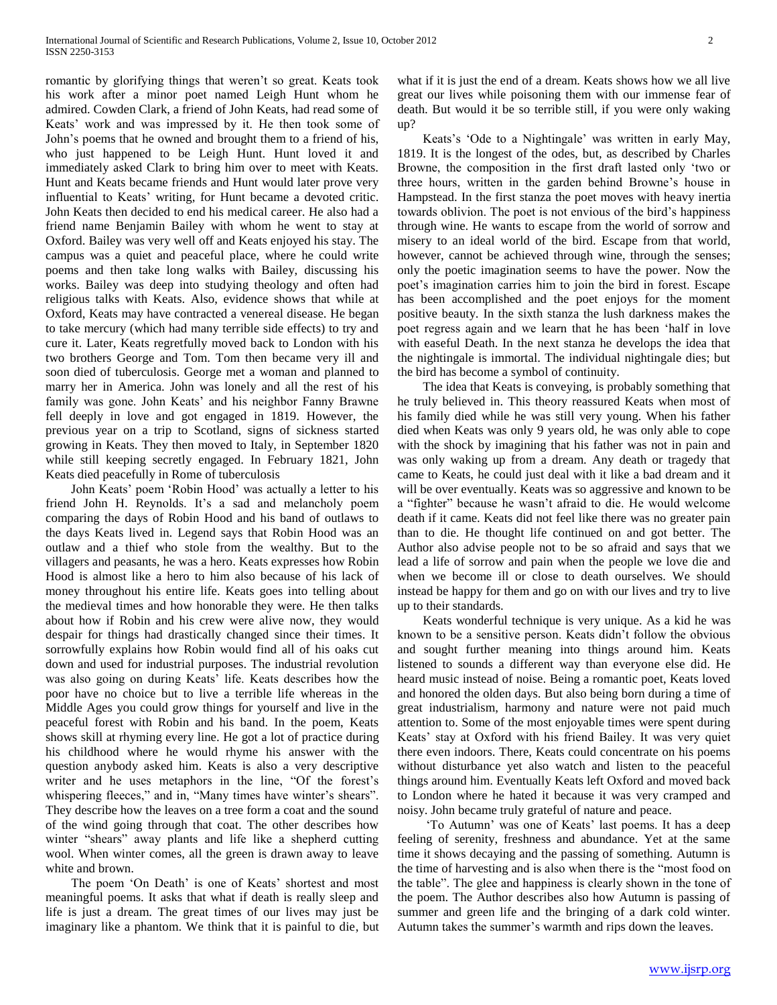romantic by glorifying things that weren"t so great. Keats took his work after a minor poet named Leigh Hunt whom he admired. Cowden Clark, a friend of John Keats, had read some of Keats' work and was impressed by it. He then took some of John"s poems that he owned and brought them to a friend of his, who just happened to be Leigh Hunt. Hunt loved it and immediately asked Clark to bring him over to meet with Keats. Hunt and Keats became friends and Hunt would later prove very influential to Keats" writing, for Hunt became a devoted critic. John Keats then decided to end his medical career. He also had a friend name Benjamin Bailey with whom he went to stay at Oxford. Bailey was very well off and Keats enjoyed his stay. The campus was a quiet and peaceful place, where he could write poems and then take long walks with Bailey, discussing his works. Bailey was deep into studying theology and often had religious talks with Keats. Also, evidence shows that while at Oxford, Keats may have contracted a venereal disease. He began to take mercury (which had many terrible side effects) to try and cure it. Later, Keats regretfully moved back to London with his two brothers George and Tom. Tom then became very ill and soon died of tuberculosis. George met a woman and planned to marry her in America. John was lonely and all the rest of his family was gone. John Keats' and his neighbor Fanny Brawne fell deeply in love and got engaged in 1819. However, the previous year on a trip to Scotland, signs of sickness started growing in Keats. They then moved to Italy, in September 1820 while still keeping secretly engaged. In February 1821, John Keats died peacefully in Rome of tuberculosis

 John Keats" poem "Robin Hood" was actually a letter to his friend John H. Reynolds. It's a sad and melancholy poem comparing the days of Robin Hood and his band of outlaws to the days Keats lived in. Legend says that Robin Hood was an outlaw and a thief who stole from the wealthy. But to the villagers and peasants, he was a hero. Keats expresses how Robin Hood is almost like a hero to him also because of his lack of money throughout his entire life. Keats goes into telling about the medieval times and how honorable they were. He then talks about how if Robin and his crew were alive now, they would despair for things had drastically changed since their times. It sorrowfully explains how Robin would find all of his oaks cut down and used for industrial purposes. The industrial revolution was also going on during Keats' life. Keats describes how the poor have no choice but to live a terrible life whereas in the Middle Ages you could grow things for yourself and live in the peaceful forest with Robin and his band. In the poem, Keats shows skill at rhyming every line. He got a lot of practice during his childhood where he would rhyme his answer with the question anybody asked him. Keats is also a very descriptive writer and he uses metaphors in the line, "Of the forest's whispering fleeces," and in, "Many times have winter's shears". They describe how the leaves on a tree form a coat and the sound of the wind going through that coat. The other describes how winter "shears" away plants and life like a shepherd cutting wool. When winter comes, all the green is drawn away to leave white and brown.

The poem 'On Death' is one of Keats' shortest and most meaningful poems. It asks that what if death is really sleep and life is just a dream. The great times of our lives may just be imaginary like a phantom. We think that it is painful to die, but what if it is just the end of a dream. Keats shows how we all live great our lives while poisoning them with our immense fear of death. But would it be so terrible still, if you were only waking up?

Keats's 'Ode to a Nightingale' was written in early May, 1819. It is the longest of the odes, but, as described by Charles Browne, the composition in the first draft lasted only "two or three hours, written in the garden behind Browne"s house in Hampstead. In the first stanza the poet moves with heavy inertia towards oblivion. The poet is not envious of the bird"s happiness through wine. He wants to escape from the world of sorrow and misery to an ideal world of the bird. Escape from that world, however, cannot be achieved through wine, through the senses; only the poetic imagination seems to have the power. Now the poet's imagination carries him to join the bird in forest. Escape has been accomplished and the poet enjoys for the moment positive beauty. In the sixth stanza the lush darkness makes the poet regress again and we learn that he has been "half in love with easeful Death. In the next stanza he develops the idea that the nightingale is immortal. The individual nightingale dies; but the bird has become a symbol of continuity.

 The idea that Keats is conveying, is probably something that he truly believed in. This theory reassured Keats when most of his family died while he was still very young. When his father died when Keats was only 9 years old, he was only able to cope with the shock by imagining that his father was not in pain and was only waking up from a dream. Any death or tragedy that came to Keats, he could just deal with it like a bad dream and it will be over eventually. Keats was so aggressive and known to be a "fighter" because he wasn"t afraid to die. He would welcome death if it came. Keats did not feel like there was no greater pain than to die. He thought life continued on and got better. The Author also advise people not to be so afraid and says that we lead a life of sorrow and pain when the people we love die and when we become ill or close to death ourselves. We should instead be happy for them and go on with our lives and try to live up to their standards.

 Keats wonderful technique is very unique. As a kid he was known to be a sensitive person. Keats didn"t follow the obvious and sought further meaning into things around him. Keats listened to sounds a different way than everyone else did. He heard music instead of noise. Being a romantic poet, Keats loved and honored the olden days. But also being born during a time of great industrialism, harmony and nature were not paid much attention to. Some of the most enjoyable times were spent during Keats' stay at Oxford with his friend Bailey. It was very quiet there even indoors. There, Keats could concentrate on his poems without disturbance yet also watch and listen to the peaceful things around him. Eventually Keats left Oxford and moved back to London where he hated it because it was very cramped and noisy. John became truly grateful of nature and peace.

 "To Autumn" was one of Keats" last poems. It has a deep feeling of serenity, freshness and abundance. Yet at the same time it shows decaying and the passing of something. Autumn is the time of harvesting and is also when there is the "most food on the table". The glee and happiness is clearly shown in the tone of the poem. The Author describes also how Autumn is passing of summer and green life and the bringing of a dark cold winter. Autumn takes the summer's warmth and rips down the leaves.